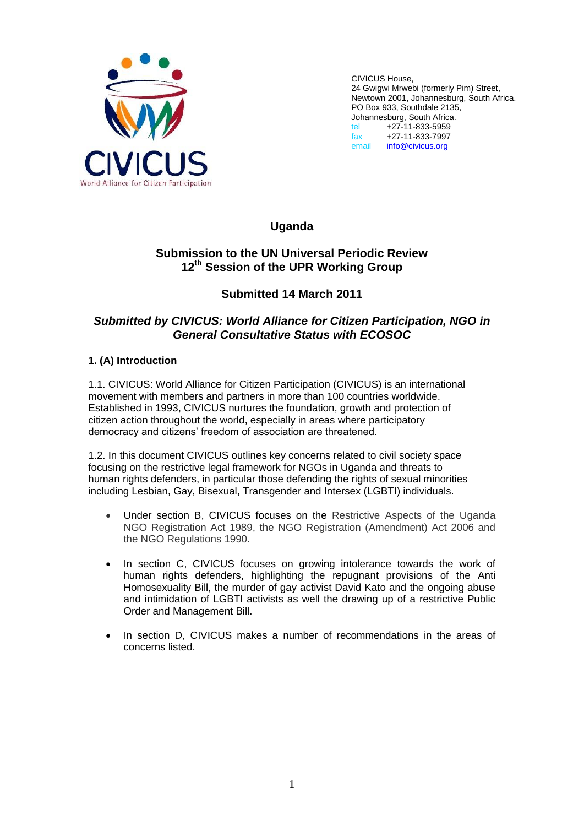

CIVICUS House, 24 Gwigwi Mrwebi (formerly Pim) Street, Newtown 2001, Johannesburg, South Africa. PO Box 933, Southdale 2135, Johannesburg, South Africa. tel +27-11-833-5959 fax +27-11-833-7997 [info@civicus.org](mailto:info@civicus.org)

**Uganda**

## **Submission to the UN Universal Periodic Review 12th Session of the UPR Working Group**

# **Submitted 14 March 2011**

# *Submitted by CIVICUS: World Alliance for Citizen Participation, NGO in General Consultative Status with ECOSOC*

## **1. (A) Introduction**

1.1. CIVICUS: World Alliance for Citizen Participation (CIVICUS) is an international movement with members and partners in more than 100 countries worldwide. Established in 1993, CIVICUS nurtures the foundation, growth and protection of citizen action throughout the world, especially in areas where participatory democracy and citizens" freedom of association are threatened.

1.2. In this document CIVICUS outlines key concerns related to civil society space focusing on the restrictive legal framework for NGOs in Uganda and threats to human rights defenders, in particular those defending the rights of sexual minorities including Lesbian, Gay, Bisexual, Transgender and Intersex (LGBTI) individuals.

- Under section B, CIVICUS focuses on the Restrictive Aspects of the Uganda NGO Registration Act 1989, the NGO Registration (Amendment) Act 2006 and the NGO Regulations 1990.
- In section C, CIVICUS focuses on growing intolerance towards the work of human rights defenders, highlighting the repugnant provisions of the Anti Homosexuality Bill, the murder of gay activist David Kato and the ongoing abuse and intimidation of LGBTI activists as well the drawing up of a restrictive Public Order and Management Bill.
- In section D, CIVICUS makes a number of recommendations in the areas of concerns listed.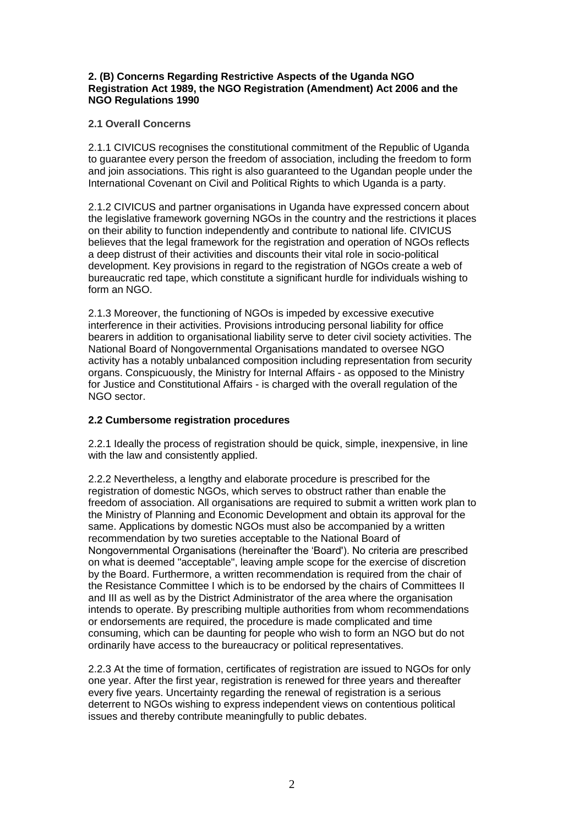#### **2. (B) Concerns Regarding Restrictive Aspects of the Uganda NGO Registration Act 1989, the NGO Registration (Amendment) Act 2006 and the NGO Regulations 1990**

#### **2.1 Overall Concerns**

2.1.1 CIVICUS recognises the constitutional commitment of the Republic of Uganda to guarantee every person the freedom of association, including the freedom to form and join associations. This right is also guaranteed to the Ugandan people under the International Covenant on Civil and Political Rights to which Uganda is a party.

2.1.2 CIVICUS and partner organisations in Uganda have expressed concern about the legislative framework governing NGOs in the country and the restrictions it places on their ability to function independently and contribute to national life. CIVICUS believes that the legal framework for the registration and operation of NGOs reflects a deep distrust of their activities and discounts their vital role in socio-political development. Key provisions in regard to the registration of NGOs create a web of bureaucratic red tape, which constitute a significant hurdle for individuals wishing to form an NGO.

2.1.3 Moreover, the functioning of NGOs is impeded by excessive executive interference in their activities. Provisions introducing personal liability for office bearers in addition to organisational liability serve to deter civil society activities. The National Board of Nongovernmental Organisations mandated to oversee NGO activity has a notably unbalanced composition including representation from security organs. Conspicuously, the Ministry for Internal Affairs - as opposed to the Ministry for Justice and Constitutional Affairs - is charged with the overall regulation of the NGO sector.

## **2.2 Cumbersome registration procedures**

2.2.1 Ideally the process of registration should be quick, simple, inexpensive, in line with the law and consistently applied.

2.2.2 Nevertheless, a lengthy and elaborate procedure is prescribed for the registration of domestic NGOs, which serves to obstruct rather than enable the freedom of association. All organisations are required to submit a written work plan to the Ministry of Planning and Economic Development and obtain its approval for the same. Applications by domestic NGOs must also be accompanied by a written recommendation by two sureties acceptable to the National Board of Nongovernmental Organisations (hereinafter the "Board'). No criteria are prescribed on what is deemed "acceptable", leaving ample scope for the exercise of discretion by the Board. Furthermore, a written recommendation is required from the chair of the Resistance Committee I which is to be endorsed by the chairs of Committees II and III as well as by the District Administrator of the area where the organisation intends to operate. By prescribing multiple authorities from whom recommendations or endorsements are required, the procedure is made complicated and time consuming, which can be daunting for people who wish to form an NGO but do not ordinarily have access to the bureaucracy or political representatives.

2.2.3 At the time of formation, certificates of registration are issued to NGOs for only one year. After the first year, registration is renewed for three years and thereafter every five years. Uncertainty regarding the renewal of registration is a serious deterrent to NGOs wishing to express independent views on contentious political issues and thereby contribute meaningfully to public debates.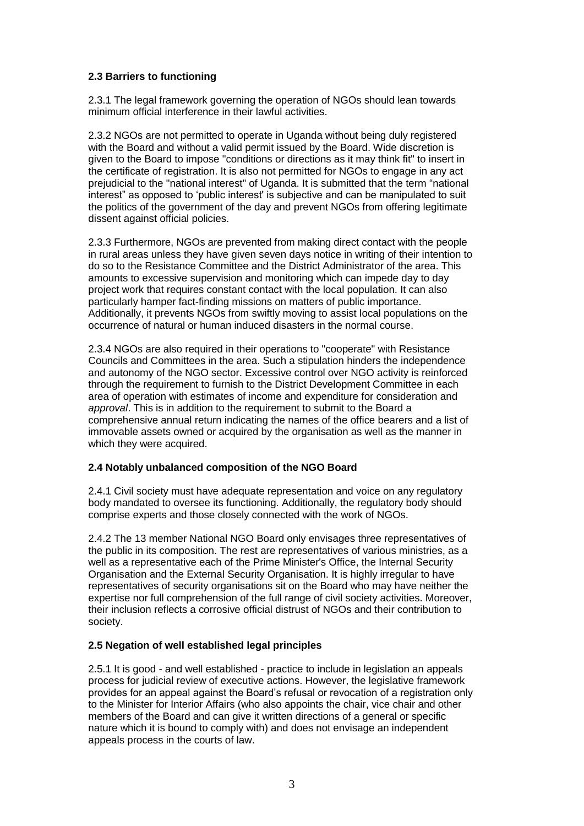### **2.3 Barriers to functioning**

2.3.1 The legal framework governing the operation of NGOs should lean towards minimum official interference in their lawful activities.

2.3.2 NGOs are not permitted to operate in Uganda without being duly registered with the Board and without a valid permit issued by the Board. Wide discretion is given to the Board to impose "conditions or directions as it may think fit" to insert in the certificate of registration. It is also not permitted for NGOs to engage in any act prejudicial to the "national interest" of Uganda. It is submitted that the term "national interest" as opposed to "public interest' is subjective and can be manipulated to suit the politics of the government of the day and prevent NGOs from offering legitimate dissent against official policies.

2.3.3 Furthermore, NGOs are prevented from making direct contact with the people in rural areas unless they have given seven days notice in writing of their intention to do so to the Resistance Committee and the District Administrator of the area. This amounts to excessive supervision and monitoring which can impede day to day project work that requires constant contact with the local population. It can also particularly hamper fact-finding missions on matters of public importance. Additionally, it prevents NGOs from swiftly moving to assist local populations on the occurrence of natural or human induced disasters in the normal course.

2.3.4 NGOs are also required in their operations to "cooperate" with Resistance Councils and Committees in the area. Such a stipulation hinders the independence and autonomy of the NGO sector. Excessive control over NGO activity is reinforced through the requirement to furnish to the District Development Committee in each area of operation with estimates of income and expenditure for consideration and *approval*. This is in addition to the requirement to submit to the Board a comprehensive annual return indicating the names of the office bearers and a list of immovable assets owned or acquired by the organisation as well as the manner in which they were acquired.

#### **2.4 Notably unbalanced composition of the NGO Board**

2.4.1 Civil society must have adequate representation and voice on any regulatory body mandated to oversee its functioning. Additionally, the regulatory body should comprise experts and those closely connected with the work of NGOs.

2.4.2 The 13 member National NGO Board only envisages three representatives of the public in its composition. The rest are representatives of various ministries, as a well as a representative each of the Prime Minister's Office, the Internal Security Organisation and the External Security Organisation. It is highly irregular to have representatives of security organisations sit on the Board who may have neither the expertise nor full comprehension of the full range of civil society activities. Moreover, their inclusion reflects a corrosive official distrust of NGOs and their contribution to society.

## **2.5 Negation of well established legal principles**

2.5.1 It is good - and well established - practice to include in legislation an appeals process for judicial review of executive actions. However, the legislative framework provides for an appeal against the Board"s refusal or revocation of a registration only to the Minister for Interior Affairs (who also appoints the chair, vice chair and other members of the Board and can give it written directions of a general or specific nature which it is bound to comply with) and does not envisage an independent appeals process in the courts of law.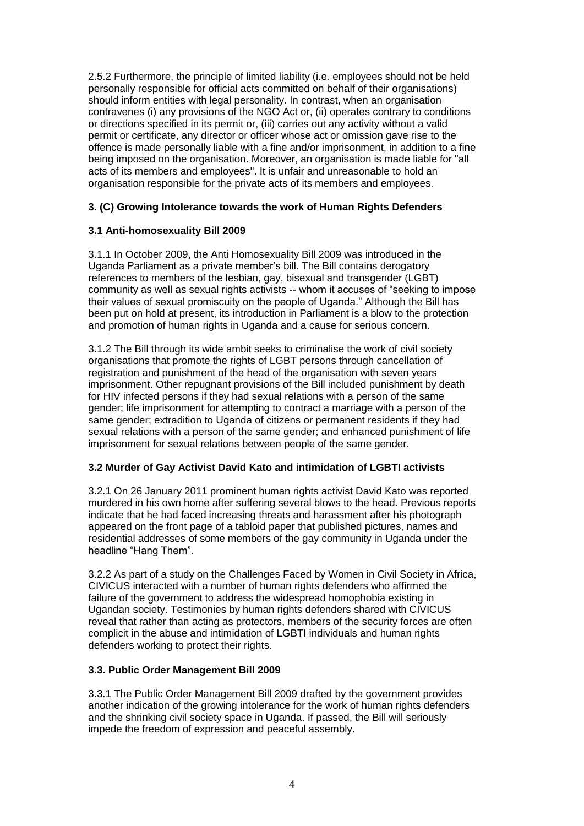2.5.2 Furthermore, the principle of limited liability (i.e. employees should not be held personally responsible for official acts committed on behalf of their organisations) should inform entities with legal personality. In contrast, when an organisation contravenes (i) any provisions of the NGO Act or, (ii) operates contrary to conditions or directions specified in its permit or, (iii) carries out any activity without a valid permit or certificate, any director or officer whose act or omission gave rise to the offence is made personally liable with a fine and/or imprisonment, in addition to a fine being imposed on the organisation. Moreover, an organisation is made liable for "all acts of its members and employees". It is unfair and unreasonable to hold an organisation responsible for the private acts of its members and employees.

### **3. (C) Growing Intolerance towards the work of Human Rights Defenders**

### **3.1 Anti-homosexuality Bill 2009**

3.1.1 In October 2009, the Anti Homosexuality Bill 2009 was introduced in the Uganda Parliament as a private member"s bill. The Bill contains derogatory references to members of the lesbian, gay, bisexual and transgender (LGBT) community as well as sexual rights activists -- whom it accuses of "seeking to impose their values of sexual promiscuity on the people of Uganda." Although the Bill has been put on hold at present, its introduction in Parliament is a blow to the protection and promotion of human rights in Uganda and a cause for serious concern.

3.1.2 The Bill through its wide ambit seeks to criminalise the work of civil society organisations that promote the rights of LGBT persons through cancellation of registration and punishment of the head of the organisation with seven years imprisonment. Other repugnant provisions of the Bill included punishment by death for HIV infected persons if they had sexual relations with a person of the same gender; life imprisonment for attempting to contract a marriage with a person of the same gender; extradition to Uganda of citizens or permanent residents if they had sexual relations with a person of the same gender; and enhanced punishment of life imprisonment for sexual relations between people of the same gender.

#### **3.2 Murder of Gay Activist David Kato and intimidation of LGBTI activists**

3.2.1 On 26 January 2011 prominent human rights activist David Kato was reported murdered in his own home after suffering several blows to the head. Previous reports indicate that he had faced increasing threats and harassment after his photograph appeared on the front page of a tabloid paper that published pictures, names and residential addresses of some members of the gay community in Uganda under the headline "Hang Them".

3.2.2 As part of a study on the Challenges Faced by Women in Civil Society in Africa, CIVICUS interacted with a number of human rights defenders who affirmed the failure of the government to address the widespread homophobia existing in Ugandan society. Testimonies by human rights defenders shared with CIVICUS reveal that rather than acting as protectors, members of the security forces are often complicit in the abuse and intimidation of LGBTI individuals and human rights defenders working to protect their rights.

#### **3.3. Public Order Management Bill 2009**

3.3.1 The Public Order Management Bill 2009 drafted by the government provides another indication of the growing intolerance for the work of human rights defenders and the shrinking civil society space in Uganda. If passed, the Bill will seriously impede the freedom of expression and peaceful assembly.